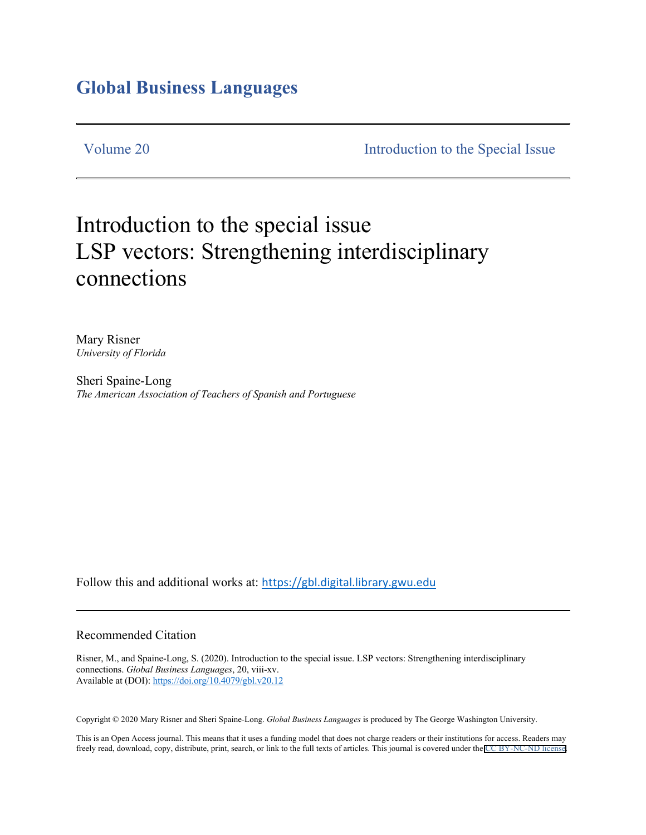## **Global Business Languages**

Volume 20 Introduction to the Special Issue

# Introduction to the special issue LSP vectors: Strengthening interdisciplinary connections

Mary Risner *University of Florida*

Sheri Spaine-Long *The American Association of Teachers of Spanish and Portuguese* 

Follow this and additional works at: https://gbl.digital.library.gwu.edu

#### Recommended Citation

Risner, M., and Spaine-Long, S. (2020). Introduction to the special issue. LSP vectors: Strengthening interdisciplinary connections. *Global Business Languages*, 20, viii-xv. Available at (DOI): https://doi.org/10.4079/gbl.v20.12

Copyright © 2020 Mary Risner and Sheri Spaine-Long. *Global Business Languages* is produced by The George Washington University.

This is an Open Access journal. This means that it uses a funding model that does not charge readers or their institutions for access. Readers may freely read, download, copy, distribute, print, search, or link to the full texts of articles. This journal is covered under the [CC BY-NC-ND license](https://creativecommons.org/licenses/by-nc-nd/4.0/).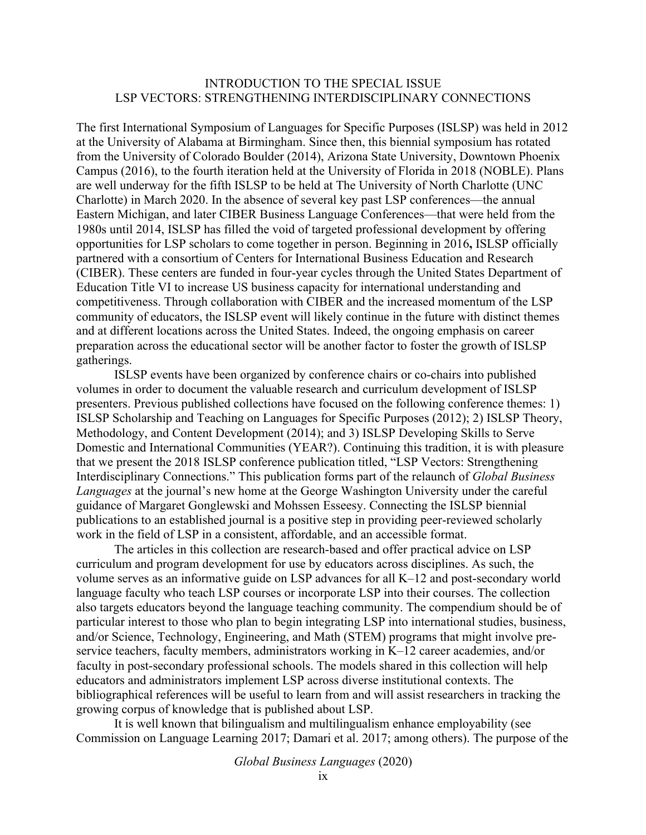### INTRODUCTION TO THE SPECIAL ISSUE LSP VECTORS: STRENGTHENING INTERDISCIPLINARY CONNECTIONS

The first International Symposium of Languages for Specific Purposes (ISLSP) was held in 2012 at the University of Alabama at Birmingham. Since then, this biennial symposium has rotated from the University of Colorado Boulder (2014), Arizona State University, Downtown Phoenix Campus (2016), to the fourth iteration held at the University of Florida in 2018 (NOBLE). Plans are well underway for the fifth ISLSP to be held at The University of North Charlotte (UNC Charlotte) in March 2020. In the absence of several key past LSP conferences—the annual Eastern Michigan, and later CIBER Business Language Conferences—that were held from the 1980s until 2014, ISLSP has filled the void of targeted professional development by offering opportunities for LSP scholars to come together in person. Beginning in 2016**,** ISLSP officially partnered with a consortium of Centers for International Business Education and Research (CIBER). These centers are funded in four-year cycles through the United States Department of Education Title VI to increase US business capacity for international understanding and competitiveness. Through collaboration with CIBER and the increased momentum of the LSP community of educators, the ISLSP event will likely continue in the future with distinct themes and at different locations across the United States. Indeed, the ongoing emphasis on career preparation across the educational sector will be another factor to foster the growth of ISLSP gatherings.

ISLSP events have been organized by conference chairs or co-chairs into published volumes in order to document the valuable research and curriculum development of ISLSP presenters. Previous published collections have focused on the following conference themes: 1) ISLSP Scholarship and Teaching on Languages for Specific Purposes (2012); 2) ISLSP Theory, Methodology, and Content Development (2014); and 3) ISLSP Developing Skills to Serve Domestic and International Communities (YEAR?). Continuing this tradition, it is with pleasure that we present the 2018 ISLSP conference publication titled, "LSP Vectors: Strengthening Interdisciplinary Connections." This publication forms part of the relaunch of *Global Business Languages* at the journal's new home at the George Washington University under the careful guidance of Margaret Gonglewski and Mohssen Esseesy. Connecting the ISLSP biennial publications to an established journal is a positive step in providing peer-reviewed scholarly work in the field of LSP in a consistent, affordable, and an accessible format.

The articles in this collection are research-based and offer practical advice on LSP curriculum and program development for use by educators across disciplines. As such, the volume serves as an informative guide on LSP advances for all K–12 and post-secondary world language faculty who teach LSP courses or incorporate LSP into their courses. The collection also targets educators beyond the language teaching community. The compendium should be of particular interest to those who plan to begin integrating LSP into international studies, business, and/or Science, Technology, Engineering, and Math (STEM) programs that might involve preservice teachers, faculty members, administrators working in K–12 career academies, and/or faculty in post-secondary professional schools. The models shared in this collection will help educators and administrators implement LSP across diverse institutional contexts. The bibliographical references will be useful to learn from and will assist researchers in tracking the growing corpus of knowledge that is published about LSP.

It is well known that bilingualism and multilingualism enhance employability (see Commission on Language Learning 2017; Damari et al. 2017; among others). The purpose of the

*Global Business Languages* (2020)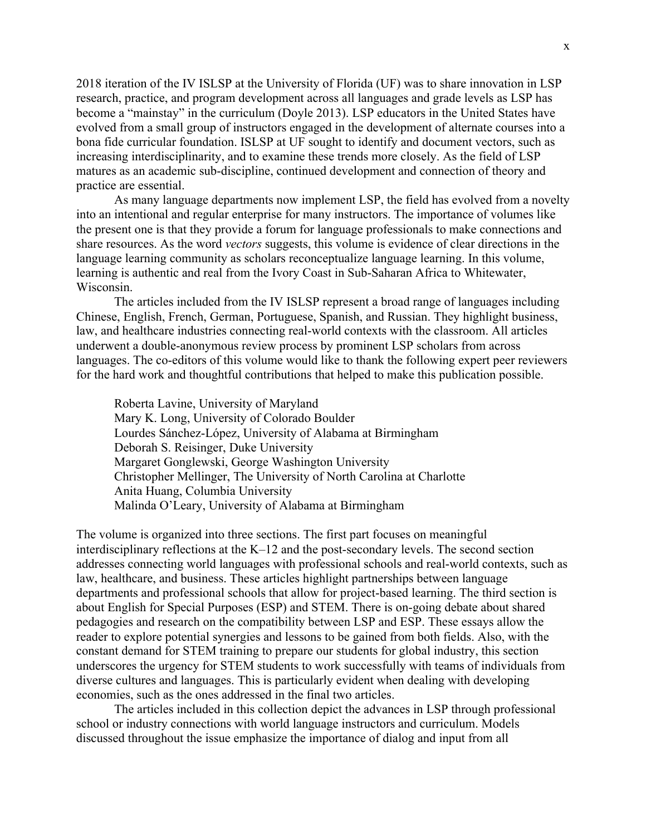2018 iteration of the IV ISLSP at the University of Florida (UF) was to share innovation in LSP research, practice, and program development across all languages and grade levels as LSP has become a "mainstay" in the curriculum (Doyle 2013). LSP educators in the United States have evolved from a small group of instructors engaged in the development of alternate courses into a bona fide curricular foundation. ISLSP at UF sought to identify and document vectors, such as increasing interdisciplinarity, and to examine these trends more closely. As the field of LSP matures as an academic sub-discipline, continued development and connection of theory and practice are essential.

As many language departments now implement LSP, the field has evolved from a novelty into an intentional and regular enterprise for many instructors. The importance of volumes like the present one is that they provide a forum for language professionals to make connections and share resources. As the word *vectors* suggests, this volume is evidence of clear directions in the language learning community as scholars reconceptualize language learning. In this volume, learning is authentic and real from the Ivory Coast in Sub-Saharan Africa to Whitewater, Wisconsin.

The articles included from the IV ISLSP represent a broad range of languages including Chinese, English, French, German, Portuguese, Spanish, and Russian. They highlight business, law, and healthcare industries connecting real-world contexts with the classroom. All articles underwent a double-anonymous review process by prominent LSP scholars from across languages. The co-editors of this volume would like to thank the following expert peer reviewers for the hard work and thoughtful contributions that helped to make this publication possible.

Roberta Lavine, University of Maryland Mary K. Long, University of Colorado Boulder Lourdes Sánchez-López, University of Alabama at Birmingham Deborah S. Reisinger, Duke University Margaret Gonglewski, George Washington University Christopher Mellinger, The University of North Carolina at Charlotte Anita Huang, Columbia University Malinda O'Leary, University of Alabama at Birmingham

The volume is organized into three sections. The first part focuses on meaningful interdisciplinary reflections at the K–12 and the post-secondary levels. The second section addresses connecting world languages with professional schools and real-world contexts, such as law, healthcare, and business. These articles highlight partnerships between language departments and professional schools that allow for project-based learning. The third section is about English for Special Purposes (ESP) and STEM. There is on-going debate about shared pedagogies and research on the compatibility between LSP and ESP. These essays allow the reader to explore potential synergies and lessons to be gained from both fields. Also, with the constant demand for STEM training to prepare our students for global industry, this section underscores the urgency for STEM students to work successfully with teams of individuals from diverse cultures and languages. This is particularly evident when dealing with developing economies, such as the ones addressed in the final two articles.

The articles included in this collection depict the advances in LSP through professional school or industry connections with world language instructors and curriculum. Models discussed throughout the issue emphasize the importance of dialog and input from all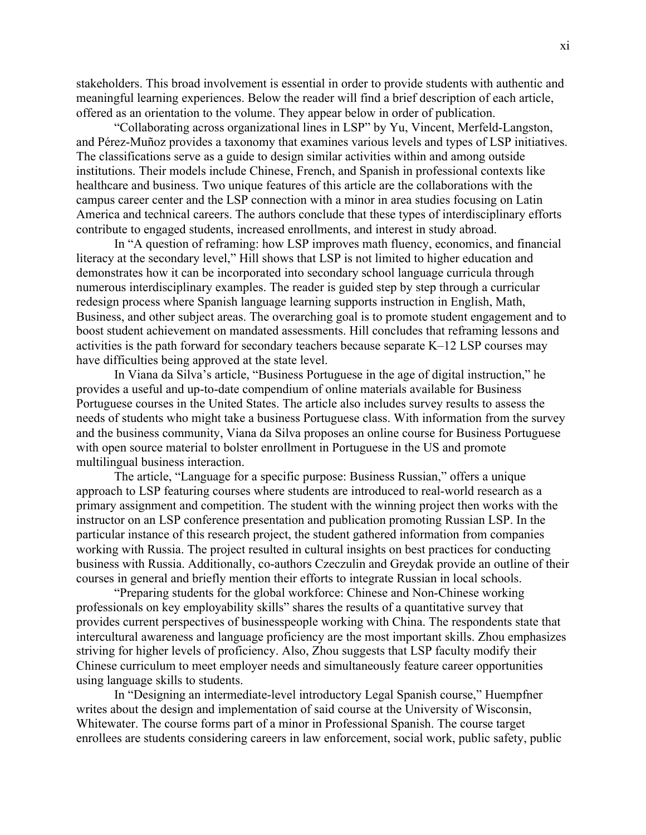stakeholders. This broad involvement is essential in order to provide students with authentic and meaningful learning experiences. Below the reader will find a brief description of each article, offered as an orientation to the volume. They appear below in order of publication.

"Collaborating across organizational lines in LSP" by Yu, Vincent, Merfeld-Langston, and Pérez-Muñoz provides a taxonomy that examines various levels and types of LSP initiatives. The classifications serve as a guide to design similar activities within and among outside institutions. Their models include Chinese, French, and Spanish in professional contexts like healthcare and business. Two unique features of this article are the collaborations with the campus career center and the LSP connection with a minor in area studies focusing on Latin America and technical careers. The authors conclude that these types of interdisciplinary efforts contribute to engaged students, increased enrollments, and interest in study abroad.

In "A question of reframing: how LSP improves math fluency, economics, and financial literacy at the secondary level," Hill shows that LSP is not limited to higher education and demonstrates how it can be incorporated into secondary school language curricula through numerous interdisciplinary examples. The reader is guided step by step through a curricular redesign process where Spanish language learning supports instruction in English, Math, Business, and other subject areas. The overarching goal is to promote student engagement and to boost student achievement on mandated assessments. Hill concludes that reframing lessons and activities is the path forward for secondary teachers because separate K–12 LSP courses may have difficulties being approved at the state level.

In Viana da Silva's article, "Business Portuguese in the age of digital instruction," he provides a useful and up-to-date compendium of online materials available for Business Portuguese courses in the United States. The article also includes survey results to assess the needs of students who might take a business Portuguese class. With information from the survey and the business community, Viana da Silva proposes an online course for Business Portuguese with open source material to bolster enrollment in Portuguese in the US and promote multilingual business interaction.

The article, "Language for a specific purpose: Business Russian," offers a unique approach to LSP featuring courses where students are introduced to real-world research as a primary assignment and competition. The student with the winning project then works with the instructor on an LSP conference presentation and publication promoting Russian LSP. In the particular instance of this research project, the student gathered information from companies working with Russia. The project resulted in cultural insights on best practices for conducting business with Russia. Additionally, co-authors Czeczulin and Greydak provide an outline of their courses in general and briefly mention their efforts to integrate Russian in local schools.

"Preparing students for the global workforce: Chinese and Non-Chinese working professionals on key employability skills" shares the results of a quantitative survey that provides current perspectives of businesspeople working with China. The respondents state that intercultural awareness and language proficiency are the most important skills. Zhou emphasizes striving for higher levels of proficiency. Also, Zhou suggests that LSP faculty modify their Chinese curriculum to meet employer needs and simultaneously feature career opportunities using language skills to students.

In "Designing an intermediate-level introductory Legal Spanish course," Huempfner writes about the design and implementation of said course at the University of Wisconsin, Whitewater. The course forms part of a minor in Professional Spanish. The course target enrollees are students considering careers in law enforcement, social work, public safety, public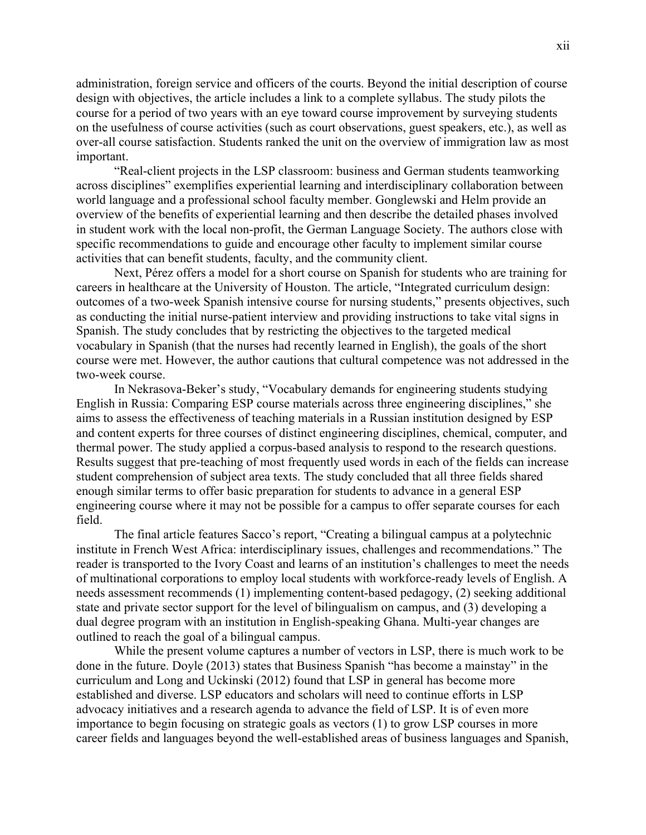administration, foreign service and officers of the courts. Beyond the initial description of course design with objectives, the article includes a link to a complete syllabus. The study pilots the course for a period of two years with an eye toward course improvement by surveying students on the usefulness of course activities (such as court observations, guest speakers, etc.), as well as over-all course satisfaction. Students ranked the unit on the overview of immigration law as most important.

"Real-client projects in the LSP classroom: business and German students teamworking across disciplines" exemplifies experiential learning and interdisciplinary collaboration between world language and a professional school faculty member. Gonglewski and Helm provide an overview of the benefits of experiential learning and then describe the detailed phases involved in student work with the local non-profit, the German Language Society. The authors close with specific recommendations to guide and encourage other faculty to implement similar course activities that can benefit students, faculty, and the community client.

Next, Pérez offers a model for a short course on Spanish for students who are training for careers in healthcare at the University of Houston. The article, "Integrated curriculum design: outcomes of a two-week Spanish intensive course for nursing students," presents objectives, such as conducting the initial nurse-patient interview and providing instructions to take vital signs in Spanish. The study concludes that by restricting the objectives to the targeted medical vocabulary in Spanish (that the nurses had recently learned in English), the goals of the short course were met. However, the author cautions that cultural competence was not addressed in the two-week course.

In Nekrasova-Beker's study, "Vocabulary demands for engineering students studying English in Russia: Comparing ESP course materials across three engineering disciplines," she aims to assess the effectiveness of teaching materials in a Russian institution designed by ESP and content experts for three courses of distinct engineering disciplines, chemical, computer, and thermal power. The study applied a corpus-based analysis to respond to the research questions. Results suggest that pre-teaching of most frequently used words in each of the fields can increase student comprehension of subject area texts. The study concluded that all three fields shared enough similar terms to offer basic preparation for students to advance in a general ESP engineering course where it may not be possible for a campus to offer separate courses for each field.

The final article features Sacco's report, "Creating a bilingual campus at a polytechnic institute in French West Africa: interdisciplinary issues, challenges and recommendations." The reader is transported to the Ivory Coast and learns of an institution's challenges to meet the needs of multinational corporations to employ local students with workforce-ready levels of English. A needs assessment recommends (1) implementing content-based pedagogy, (2) seeking additional state and private sector support for the level of bilingualism on campus, and (3) developing a dual degree program with an institution in English-speaking Ghana. Multi-year changes are outlined to reach the goal of a bilingual campus.

While the present volume captures a number of vectors in LSP, there is much work to be done in the future. Doyle (2013) states that Business Spanish "has become a mainstay" in the curriculum and Long and Uckinski (2012) found that LSP in general has become more established and diverse. LSP educators and scholars will need to continue efforts in LSP advocacy initiatives and a research agenda to advance the field of LSP. It is of even more importance to begin focusing on strategic goals as vectors (1) to grow LSP courses in more career fields and languages beyond the well-established areas of business languages and Spanish,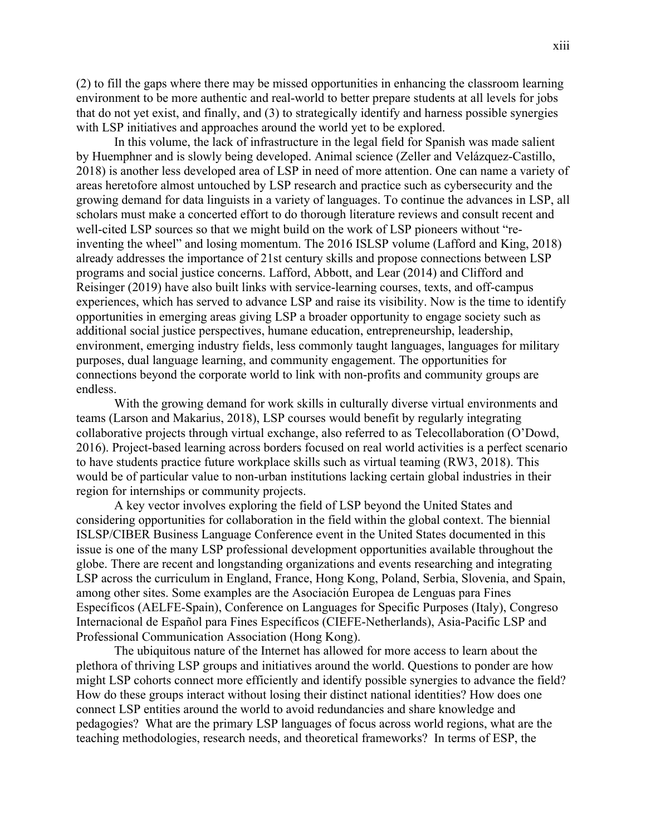(2) to fill the gaps where there may be missed opportunities in enhancing the classroom learning environment to be more authentic and real-world to better prepare students at all levels for jobs that do not yet exist, and finally, and (3) to strategically identify and harness possible synergies with LSP initiatives and approaches around the world yet to be explored.

In this volume, the lack of infrastructure in the legal field for Spanish was made salient by Huemphner and is slowly being developed. Animal science (Zeller and Velázquez-Castillo, 2018) is another less developed area of LSP in need of more attention. One can name a variety of areas heretofore almost untouched by LSP research and practice such as cybersecurity and the growing demand for data linguists in a variety of languages. To continue the advances in LSP, all scholars must make a concerted effort to do thorough literature reviews and consult recent and well-cited LSP sources so that we might build on the work of LSP pioneers without "reinventing the wheel" and losing momentum. The 2016 ISLSP volume (Lafford and King, 2018) already addresses the importance of 21st century skills and propose connections between LSP programs and social justice concerns. Lafford, Abbott, and Lear (2014) and Clifford and Reisinger (2019) have also built links with service-learning courses, texts, and off-campus experiences, which has served to advance LSP and raise its visibility. Now is the time to identify opportunities in emerging areas giving LSP a broader opportunity to engage society such as additional social justice perspectives, humane education, entrepreneurship, leadership, environment, emerging industry fields, less commonly taught languages, languages for military purposes, dual language learning, and community engagement. The opportunities for connections beyond the corporate world to link with non-profits and community groups are endless.

With the growing demand for work skills in culturally diverse virtual environments and teams (Larson and Makarius, 2018), LSP courses would benefit by regularly integrating collaborative projects through virtual exchange, also referred to as Telecollaboration (O'Dowd, 2016). Project-based learning across borders focused on real world activities is a perfect scenario to have students practice future workplace skills such as virtual teaming (RW3, 2018). This would be of particular value to non-urban institutions lacking certain global industries in their region for internships or community projects.

A key vector involves exploring the field of LSP beyond the United States and considering opportunities for collaboration in the field within the global context. The biennial ISLSP/CIBER Business Language Conference event in the United States documented in this issue is one of the many LSP professional development opportunities available throughout the globe. There are recent and longstanding organizations and events researching and integrating LSP across the curriculum in England, France, Hong Kong, Poland, Serbia, Slovenia, and Spain, among other sites. Some examples are the Asociación Europea de Lenguas para Fines Específicos (AELFE-Spain), Conference on Languages for Specific Purposes (Italy), Congreso Internacional de Español para Fines Específicos (CIEFE-Netherlands), Asia-Pacific LSP and Professional Communication Association (Hong Kong).

The ubiquitous nature of the Internet has allowed for more access to learn about the plethora of thriving LSP groups and initiatives around the world. Questions to ponder are how might LSP cohorts connect more efficiently and identify possible synergies to advance the field? How do these groups interact without losing their distinct national identities? How does one connect LSP entities around the world to avoid redundancies and share knowledge and pedagogies? What are the primary LSP languages of focus across world regions, what are the teaching methodologies, research needs, and theoretical frameworks? In terms of ESP, the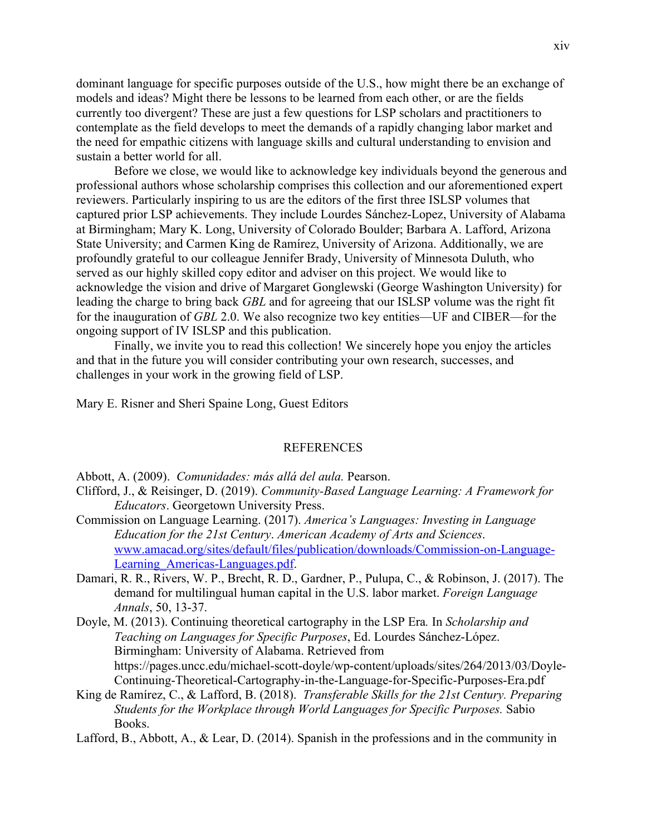dominant language for specific purposes outside of the U.S., how might there be an exchange of models and ideas? Might there be lessons to be learned from each other, or are the fields currently too divergent? These are just a few questions for LSP scholars and practitioners to contemplate as the field develops to meet the demands of a rapidly changing labor market and the need for empathic citizens with language skills and cultural understanding to envision and sustain a better world for all.

Before we close, we would like to acknowledge key individuals beyond the generous and professional authors whose scholarship comprises this collection and our aforementioned expert reviewers. Particularly inspiring to us are the editors of the first three ISLSP volumes that captured prior LSP achievements. They include Lourdes Sánchez-Lopez, University of Alabama at Birmingham; Mary K. Long, University of Colorado Boulder; Barbara A. Lafford, Arizona State University; and Carmen King de Ramírez, University of Arizona. Additionally, we are profoundly grateful to our colleague Jennifer Brady, University of Minnesota Duluth, who served as our highly skilled copy editor and adviser on this project. We would like to acknowledge the vision and drive of Margaret Gonglewski (George Washington University) for leading the charge to bring back *GBL* and for agreeing that our ISLSP volume was the right fit for the inauguration of *GBL* 2.0. We also recognize two key entities—UF and CIBER—for the ongoing support of IV ISLSP and this publication.

Finally, we invite you to read this collection! We sincerely hope you enjoy the articles and that in the future you will consider contributing your own research, successes, and challenges in your work in the growing field of LSP.

Mary E. Risner and Sheri Spaine Long, Guest Editors

#### REFERENCES

Abbott, A. (2009). *Comunidades: más allá del aula.* Pearson.

- Clifford, J., & Reisinger, D. (2019). *Community-Based Language Learning: A Framework for Educators*. Georgetown University Press.
- Commission on Language Learning. (2017). *America's Languages: Investing in Language Education for the 21st Century*. *American Academy of Arts and Sciences*. www.amacad.org/sites/default/files/publication/downloads/Commission-on-Language-Learning Americas-Languages.pdf.
- Damari, R. R., Rivers, W. P., Brecht, R. D., Gardner, P., Pulupa, C., & Robinson, J. (2017). The demand for multilingual human capital in the U.S. labor market. *Foreign Language Annals*, 50, 13-37.
- Doyle, M. (2013). Continuing theoretical cartography in the LSP Era*.* In *Scholarship and Teaching on Languages for Specific Purposes*, Ed. Lourdes Sánchez-López. Birmingham: University of Alabama. Retrieved from https://pages.uncc.edu/michael-scott-doyle/wp-content/uploads/sites/264/2013/03/Doyle-Continuing-Theoretical-Cartography-in-the-Language-for-Specific-Purposes-Era.pdf
- King de Ramírez, C., & Lafford, B. (2018). *Transferable Skills for the 21st Century. Preparing Students for the Workplace through World Languages for Specific Purposes.* Sabio Books.
- Lafford, B., Abbott, A., & Lear, D. (2014). Spanish in the professions and in the community in